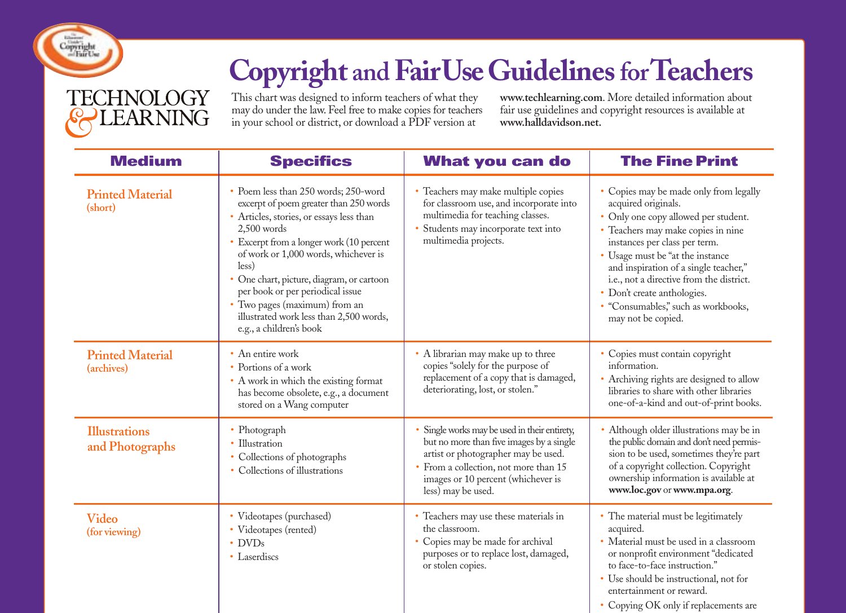

## **Copyright and FairUseGuidelinesforTeachers**

**TECHNOLOGY LEARNING** 

This chart was designed to inform teachers of what they may do under the law. Feel free to make copies for teachers in your school or district, or download a PDF version at

**www.techlearning.com**. More detailed information about fair use guidelines and copyright resources is available at **www.halldavidson.net.**

| <b>Medium</b>                           | <b>Specifics</b>                                                                                                                                                                                                                                                                                                                                                                                                                 | <b>What you can do</b>                                                                                                                                                                                                            | <b>The Fine Print</b>                                                                                                                                                                                                                                                                                                                                                                             |
|-----------------------------------------|----------------------------------------------------------------------------------------------------------------------------------------------------------------------------------------------------------------------------------------------------------------------------------------------------------------------------------------------------------------------------------------------------------------------------------|-----------------------------------------------------------------------------------------------------------------------------------------------------------------------------------------------------------------------------------|---------------------------------------------------------------------------------------------------------------------------------------------------------------------------------------------------------------------------------------------------------------------------------------------------------------------------------------------------------------------------------------------------|
| <b>Printed Material</b><br>(short)      | • Poem less than 250 words; 250-word<br>excerpt of poem greater than 250 words<br>• Articles, stories, or essays less than<br>$2,500$ words<br>• Excerpt from a longer work (10 percent<br>of work or 1,000 words, whichever is<br>less)<br>· One chart, picture, diagram, or cartoon<br>per book or per periodical issue<br>• Two pages (maximum) from an<br>illustrated work less than 2,500 words,<br>e.g., a children's book | • Teachers may make multiple copies<br>for classroom use, and incorporate into<br>multimedia for teaching classes.<br>Students may incorporate text into<br>multimedia projects.                                                  | • Copies may be made only from legally<br>acquired originals.<br>• Only one copy allowed per student.<br>• Teachers may make copies in nine<br>instances per class per term.<br>• Usage must be "at the instance<br>and inspiration of a single teacher,"<br>i.e., not a directive from the district.<br>• Don't create anthologies.<br>• "Consumables," such as workbooks,<br>may not be copied. |
| <b>Printed Material</b><br>(archives)   | • An entire work<br>• Portions of a work<br>• A work in which the existing format<br>has become obsolete, e.g., a document<br>stored on a Wang computer                                                                                                                                                                                                                                                                          | • A librarian may make up to three<br>copies "solely for the purpose of<br>replacement of a copy that is damaged,<br>deteriorating, lost, or stolen."                                                                             | • Copies must contain copyright<br>information.<br>• Archiving rights are designed to allow<br>libraries to share with other libraries<br>one-of-a-kind and out-of-print books.                                                                                                                                                                                                                   |
| <b>Illustrations</b><br>and Photographs | • Photograph<br>• Illustration<br>• Collections of photographs<br>• Collections of illustrations                                                                                                                                                                                                                                                                                                                                 | Single works may be used in their entirety,<br>but no more than five images by a single<br>artist or photographer may be used.<br>From a collection, not more than 15<br>images or 10 percent (whichever is<br>less) may be used. | Although older illustrations may be in<br>the public domain and don't need permis-<br>sion to be used, sometimes they're part<br>of a copyright collection. Copyright<br>ownership information is available at<br>www.loc.gov or www.mpa.org.                                                                                                                                                     |
| Video<br>(for viewing)                  | • Videotapes (purchased)<br>• Videotapes (rented)<br>$\cdot$ DVDs<br>• Laserdiscs                                                                                                                                                                                                                                                                                                                                                | • Teachers may use these materials in<br>the classroom.<br>Copies may be made for archival<br>purposes or to replace lost, damaged,<br>or stolen copies.                                                                          | • The material must be legitimately<br>acquired.<br>· Material must be used in a classroom<br>or nonprofit environment "dedicated<br>to face-to-face instruction."<br>• Use should be instructional, not for<br>entertainment or reward.<br>• Copying OK only if replacements are                                                                                                                 |